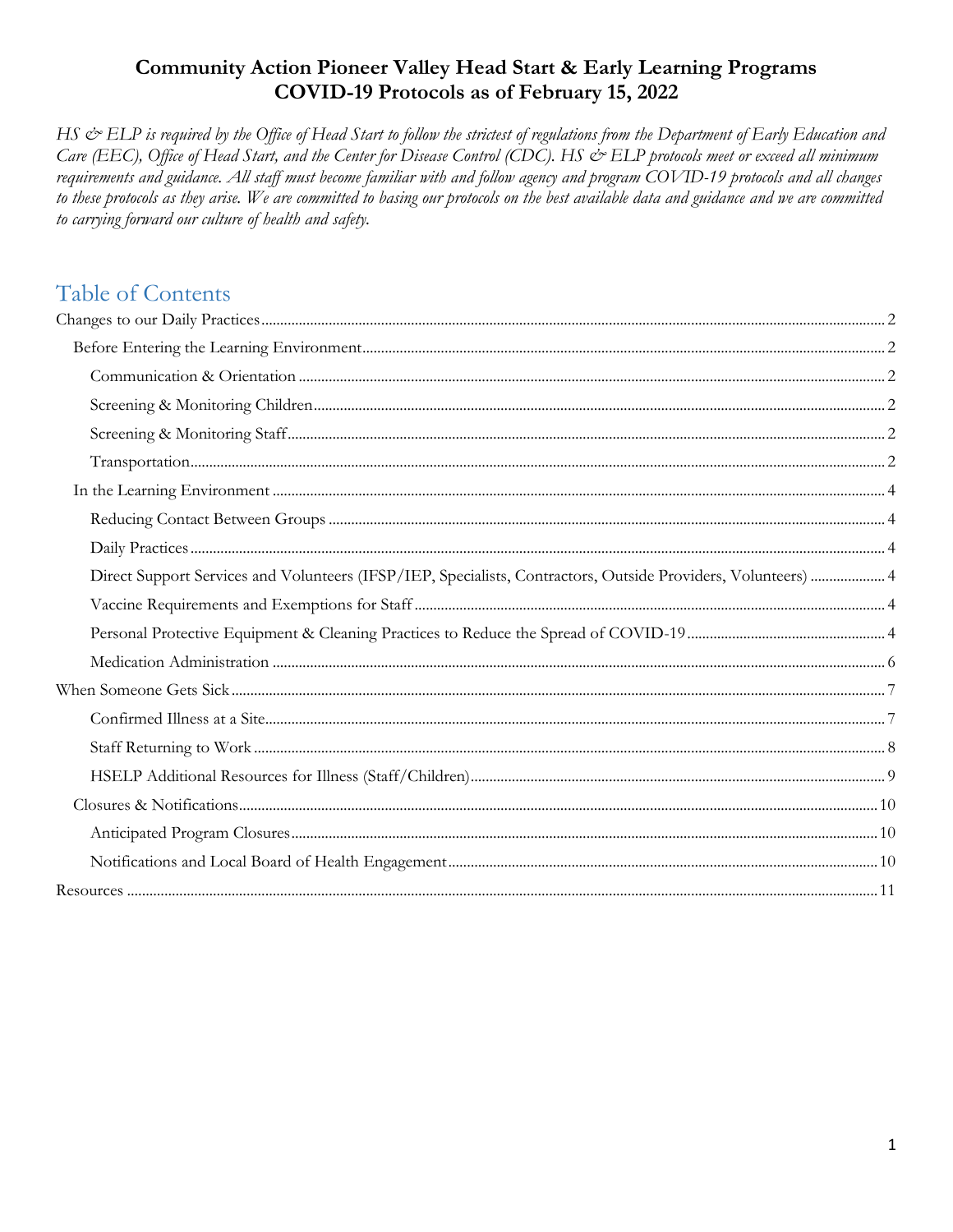## **Community Action Pioneer Valley Head Start & Early Learning Programs** COVID-19 Protocols as of February 15, 2022

HS & ELP is required by the Office of Head Start to follow the strictest of regulations from the Department of Early Education and Care (EEC), Office of Head Start, and the Center for Disease Control (CDC). HS & ELP protocols meet or exceed all minimum requirements and guidance. All staff must become familiar with and follow agency and program COVID-19 protocols and all changes to these protocols as they arise. We are committed to basing our protocols on the best available data and guidance and we are committed to carrying forward our culture of health and safety.

# Table of Contents

| Direct Support Services and Volunteers (IFSP/IEP, Specialists, Contractors, Outside Providers, Volunteers)  4 |  |
|---------------------------------------------------------------------------------------------------------------|--|
|                                                                                                               |  |
|                                                                                                               |  |
|                                                                                                               |  |
|                                                                                                               |  |
|                                                                                                               |  |
|                                                                                                               |  |
|                                                                                                               |  |
|                                                                                                               |  |
|                                                                                                               |  |
|                                                                                                               |  |
|                                                                                                               |  |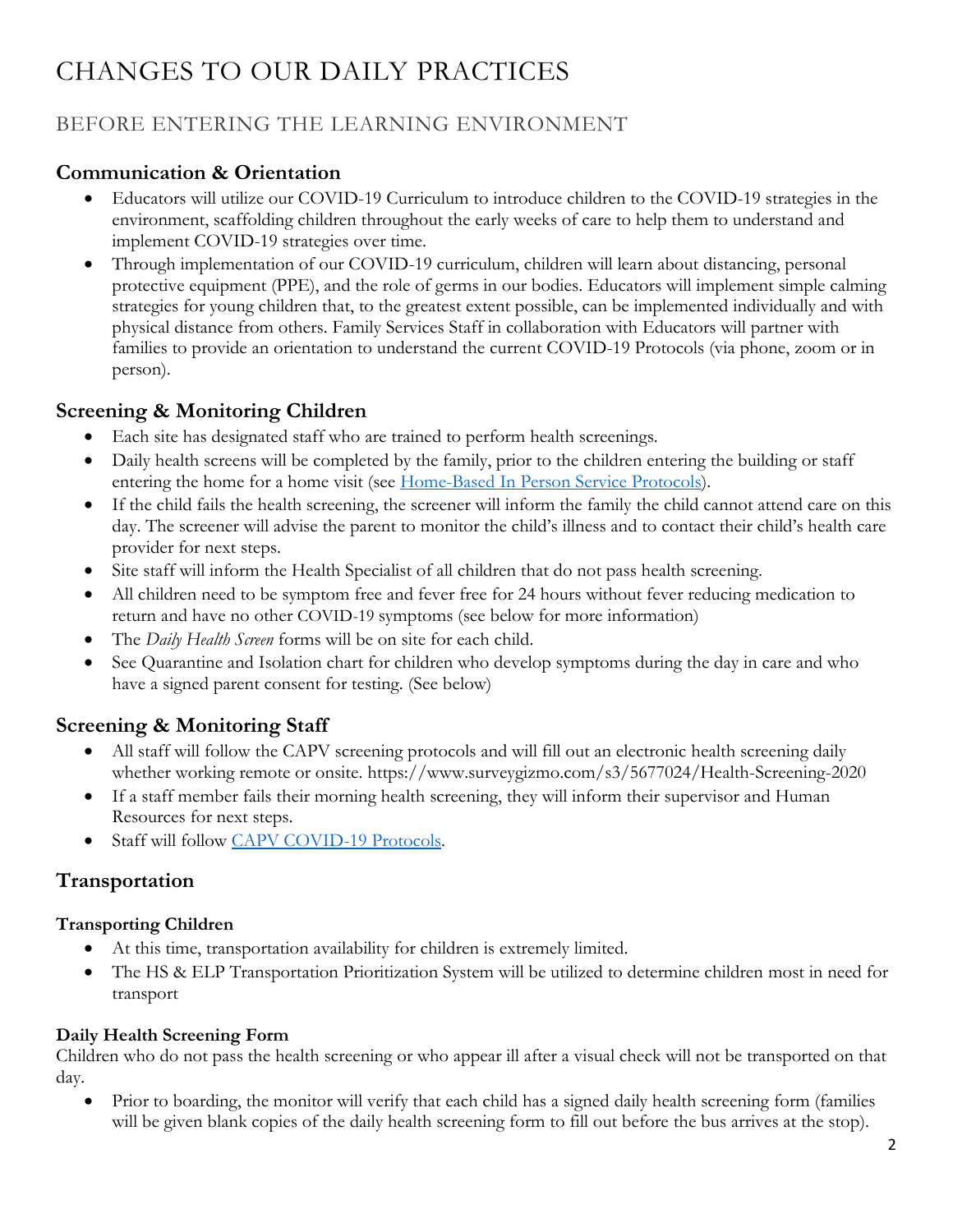# <span id="page-1-0"></span>CHANGES TO OUR DAILY PRACTICES

# <span id="page-1-1"></span>BEFORE ENTERING THE LEARNING ENVIRONMENT

## <span id="page-1-2"></span>**Communication & Orientation**

- Educators will utilize our COVID-19 Curriculum to introduce children to the COVID-19 strategies in the environment, scaffolding children throughout the early weeks of care to help them to understand and implement COVID-19 strategies over time.
- Through implementation of our COVID-19 curriculum, children will learn about distancing, personal protective equipment (PPE), and the role of germs in our bodies. Educators will implement simple calming strategies for young children that, to the greatest extent possible, can be implemented individually and with physical distance from others. Family Services Staff in collaboration with Educators will partner with families to provide an orientation to understand the current COVID-19 Protocols (via phone, zoom or in person).

## <span id="page-1-3"></span>**Screening & Monitoring Children**

- Each site has designated staff who are trained to perform health screenings.
- Daily health screens will be completed by the family, prior to the children entering the building or staff entering the home for a home visit (see [Home-Based In Person](https://commact.sharepoint.com/hselp/Shared%20Documents/Internal%20Resources/Family%20Services/Home-Based/HB%20Procedures/Return%20to%20In%20Person%20Home%20Visit%20Protocol%20final%206.16.2021.pdf?csf=1&web=1&e=fmXfoF) Service Protocols).
- If the child fails the health screening, the screener will inform the family the child cannot attend care on this day. The screener will advise the parent to monitor the child's illness and to contact their child's health care provider for next steps.
- Site staff will inform the Health Specialist of all children that do not pass health screening.
- All children need to be symptom free and fever free for 24 hours without fever reducing medication to return and have no other COVID-19 symptoms (see below for more information)
- The *Daily Health Screen* forms will be on site for each child.
- See Quarantine and Isolation chart for children who develop symptoms during the day in care and who have a signed parent consent for testing. (See below)

## <span id="page-1-4"></span>**Screening & Monitoring Staff**

- All staff will follow the CAPV screening protocols and will fill out an electronic health screening daily whether working remote or onsite. <https://www.surveygizmo.com/s3/5677024/Health-Screening-2020>
- If a staff member fails their morning health screening, they will inform their supervisor and Human Resources for next steps.
- Staff will follow [CAPV COVID-19 Protocols.](https://commact.sharepoint.com/hr/Public%20HR%20Documents/Coronavirus%20Information/COVID-19%20Protocols/CAPV%20COVID-19%20Health%20%26%20Safety%20Protocols.pdf?csf=1&web=1&e=Cdq7Hf)

## <span id="page-1-5"></span>**Transportation**

#### **Transporting Children**

- At this time, transportation availability for children is extremely limited.
- The HS & ELP Transportation Prioritization System will be utilized to determine children most in need for transport

## **Daily Health Screening Form**

Children who do not pass the health screening or who appear ill after a visual check will not be transported on that day.

 Prior to boarding, the monitor will verify that each child has a signed daily health screening form (families will be given blank copies of the daily health screening form to fill out before the bus arrives at the stop).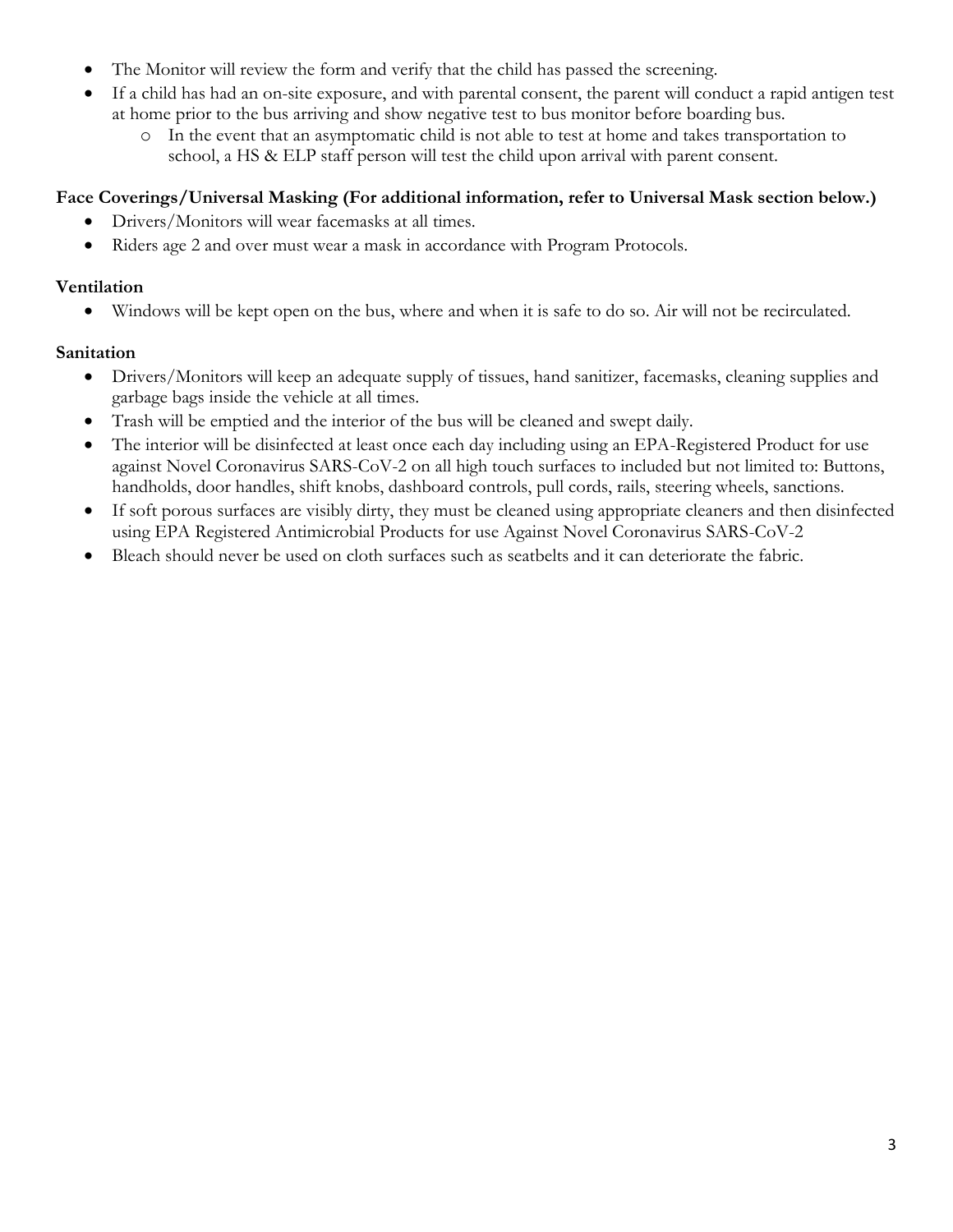- The Monitor will review the form and verify that the child has passed the screening.
- If a child has had an on-site exposure, and with parental consent, the parent will conduct a rapid antigen test at home prior to the bus arriving and show negative test to bus monitor before boarding bus.
	- o In the event that an asymptomatic child is not able to test at home and takes transportation to school, a HS & ELP staff person will test the child upon arrival with parent consent.

## **Face Coverings/Universal Masking (For additional information, refer to Universal Mask section below.)**

- Drivers/Monitors will wear facemasks at all times.
- Riders age 2 and over must wear a mask in accordance with Program Protocols.

#### **Ventilation**

Windows will be kept open on the bus, where and when it is safe to do so. Air will not be recirculated.

## **Sanitation**

- Drivers/Monitors will keep an adequate supply of tissues, hand sanitizer, facemasks, cleaning supplies and garbage bags inside the vehicle at all times.
- Trash will be emptied and the interior of the bus will be cleaned and swept daily.
- The interior will be disinfected at least once each day including using an EPA-Registered Product for use against Novel Coronavirus SARS-CoV-2 on all high touch surfaces to included but not limited to: Buttons, handholds, door handles, shift knobs, dashboard controls, pull cords, rails, steering wheels, sanctions.
- If soft porous surfaces are visibly dirty, they must be cleaned using appropriate cleaners and then disinfected using EPA Registered Antimicrobial Products for use Against Novel Coronavirus SARS-CoV-2
- Bleach should never be used on cloth surfaces such as seatbelts and it can deteriorate the fabric.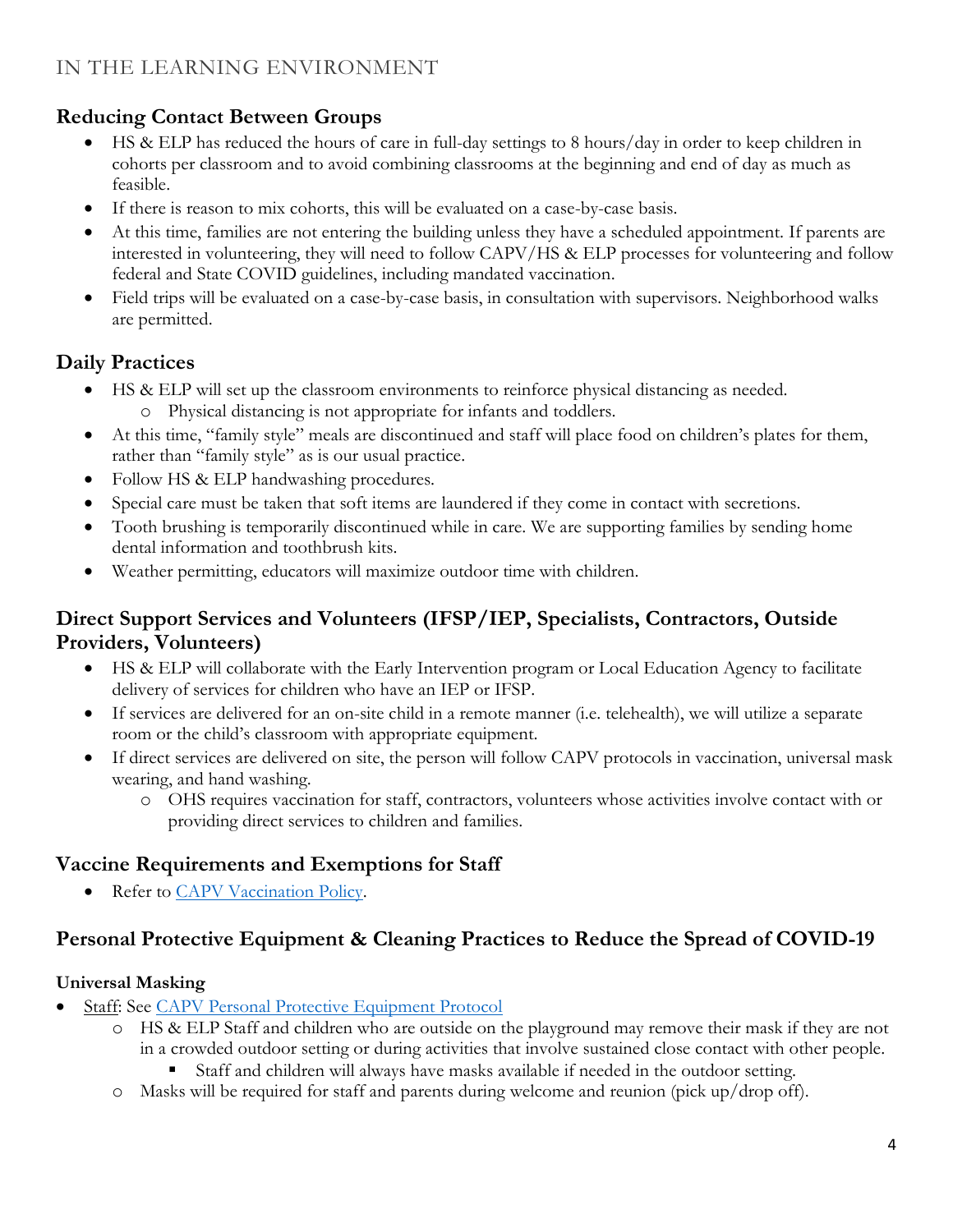## <span id="page-3-1"></span><span id="page-3-0"></span>**Reducing Contact Between Groups**

- HS & ELP has reduced the hours of care in full-day settings to 8 hours/day in order to keep children in cohorts per classroom and to avoid combining classrooms at the beginning and end of day as much as feasible.
- If there is reason to mix cohorts, this will be evaluated on a case-by-case basis.
- At this time, families are not entering the building unless they have a scheduled appointment. If parents are interested in volunteering, they will need to follow CAPV/HS & ELP processes for volunteering and follow federal and State COVID guidelines, including mandated vaccination.
- Field trips will be evaluated on a case-by-case basis, in consultation with supervisors. Neighborhood walks are permitted.

# <span id="page-3-2"></span>**Daily Practices**

- HS & ELP will set up the classroom environments to reinforce physical distancing as needed. o Physical distancing is not appropriate for infants and toddlers.
- At this time, "family style" meals are discontinued and staff will place food on children's plates for them, rather than "family style" as is our usual practice.
- Follow HS & ELP handwashing procedures.
- Special care must be taken that soft items are laundered if they come in contact with secretions.
- Tooth brushing is temporarily discontinued while in care. We are supporting families by sending home dental information and toothbrush kits.
- Weather permitting, educators will maximize outdoor time with children.

## <span id="page-3-3"></span>**Direct Support Services and Volunteers (IFSP/IEP, Specialists, Contractors, Outside Providers, Volunteers)**

- HS & ELP will collaborate with the Early Intervention program or Local Education Agency to facilitate delivery of services for children who have an IEP or IFSP.
- If services are delivered for an on-site child in a remote manner (i.e. telehealth), we will utilize a separate room or the child's classroom with appropriate equipment.
- If direct services are delivered on site, the person will follow CAPV protocols in vaccination, universal mask wearing, and hand washing.
	- o OHS requires vaccination for staff, contractors, volunteers whose activities involve contact with or providing direct services to children and families.

## <span id="page-3-4"></span>**Vaccine Requirements and Exemptions for Staff**

Refer to [CAPV Vaccination Policy.](https://commact.sharepoint.com/hr/Public%20HR%20Documents/Coronavirus%20Information/COVID-19%20Protocols/CAPV%20Mandatory%20COVID-19%20Vaccine.pdf?csf=1&web=1&e=6SHDqZ)

# <span id="page-3-5"></span>**Personal Protective Equipment & Cleaning Practices to Reduce the Spread of COVID-19**

## **Universal Masking**

- **Staff: See [CAPV Personal Protective Equipment Protocol](https://commact.sharepoint.com/hr/Public%20HR%20Documents/Coronavirus%20Information/COVID-19%20Protocols/CAPV%20COVID-19%20PPE%20Protocol.pdf?csf=1&web=1&e=uLdnJ7)** 
	- o HS & ELP Staff and children who are outside on the playground may remove their mask if they are not in a crowded outdoor setting or during activities that involve sustained close contact with other people.
		- Staff and children will always have masks available if needed in the outdoor setting.
	- o Masks will be required for staff and parents during welcome and reunion (pick up/drop off).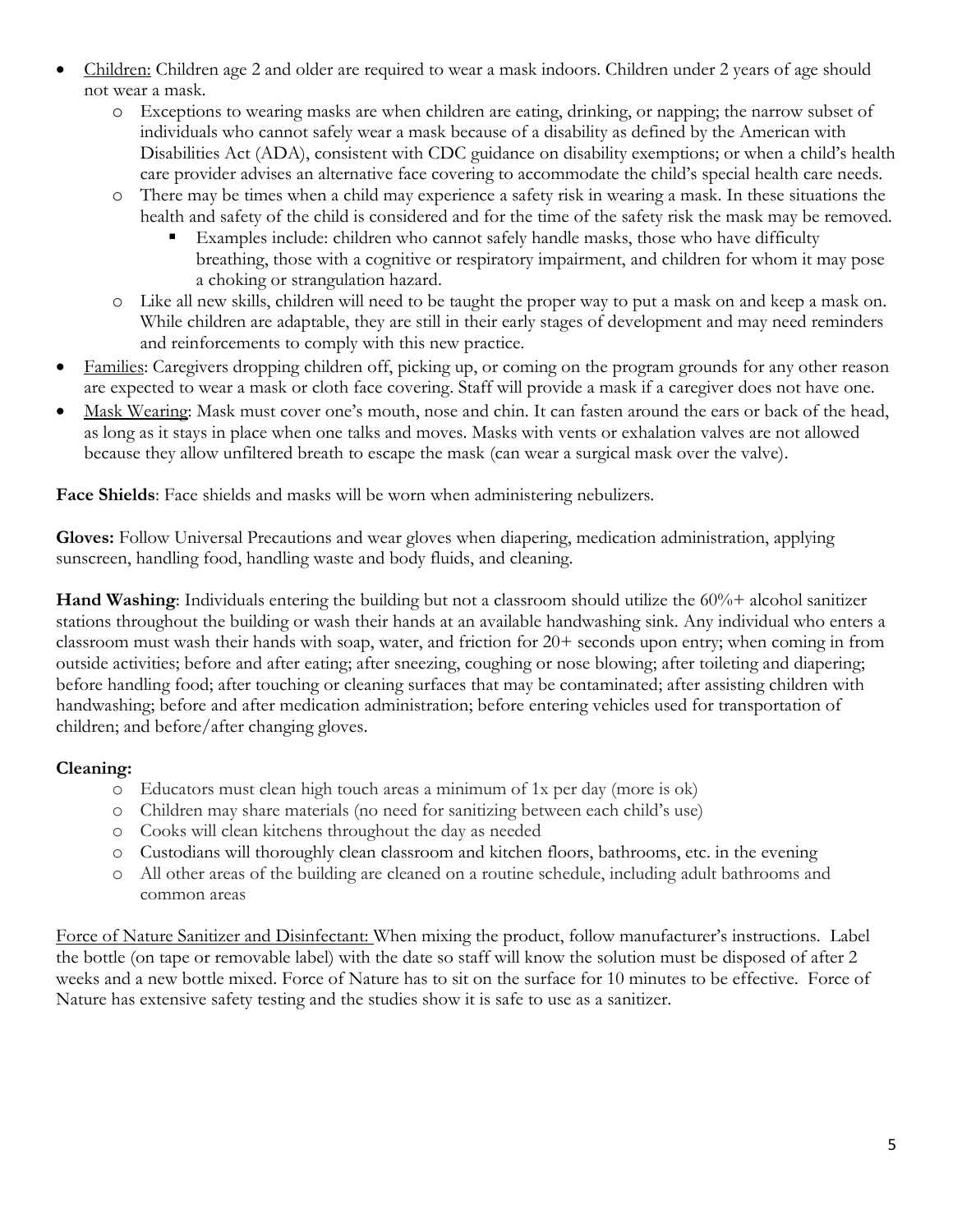- Children: Children age 2 and older are required to wear a mask indoors. Children under 2 years of age should not wear a mask.
	- o Exceptions to wearing masks are when children are eating, drinking, or napping; the narrow subset of individuals who cannot safely wear a mask because of a disability as defined by the American with Disabilities Act (ADA), consistent with CDC guidance on disability exemptions; or when a child's health care provider advises an alternative face covering to accommodate the child's special health care needs.
	- There may be times when a child may experience a safety risk in wearing a mask. In these situations the health and safety of the child is considered and for the time of the safety risk the mask may be removed.
		- Examples include: children who cannot safely handle masks, those who have difficulty breathing, those with a cognitive or respiratory impairment, and children for whom it may pose a choking or strangulation hazard.
	- o Like all new skills, children will need to be taught the proper way to put a mask on and keep a mask on. While children are adaptable, they are still in their early stages of development and may need reminders and reinforcements to comply with this new practice.
- Families: Caregivers dropping children off, picking up, or coming on the program grounds for any other reason are expected to wear a mask or cloth face covering. Staff will provide a mask if a caregiver does not have one.
- Mask Wearing: Mask must cover one's mouth, nose and chin. It can fasten around the ears or back of the head, as long as it stays in place when one talks and moves. Masks with vents or exhalation valves are not allowed because they allow unfiltered breath to escape the mask (can wear a surgical mask over the valve).

**Face Shields**: Face shields and masks will be worn when administering nebulizers.

**Gloves:** Follow Universal Precautions and wear gloves when diapering, medication administration, applying sunscreen, handling food, handling waste and body fluids, and cleaning.

**Hand Washing**: Individuals entering the building but not a classroom should utilize the 60%+ alcohol sanitizer stations throughout the building or wash their hands at an available handwashing sink. Any individual who enters a classroom must wash their hands with soap, water, and friction for 20+ seconds upon entry; when coming in from outside activities; before and after eating; after sneezing, coughing or nose blowing; after toileting and diapering; before handling food; after touching or cleaning surfaces that may be contaminated; after assisting children with handwashing; before and after medication administration; before entering vehicles used for transportation of children; and before/after changing gloves.

#### **Cleaning:**

- o Educators must clean high touch areas a minimum of 1x per day (more is ok)
- o Children may share materials (no need for sanitizing between each child's use)
- o Cooks will clean kitchens throughout the day as needed
- o Custodians will thoroughly clean classroom and kitchen floors, bathrooms, etc. in the evening
- o All other areas of the building are cleaned on a routine schedule, including adult bathrooms and common areas

Force of Nature Sanitizer and Disinfectant: When mixing the product, follow manufacturer's instructions. Label the bottle (on tape or removable label) with the date so staff will know the solution must be disposed of after 2 weeks and a new bottle mixed. Force of Nature has to sit on the surface for 10 minutes to be effective. Force of Nature has extensive safety testing and the studies show it is safe to use as a sanitizer.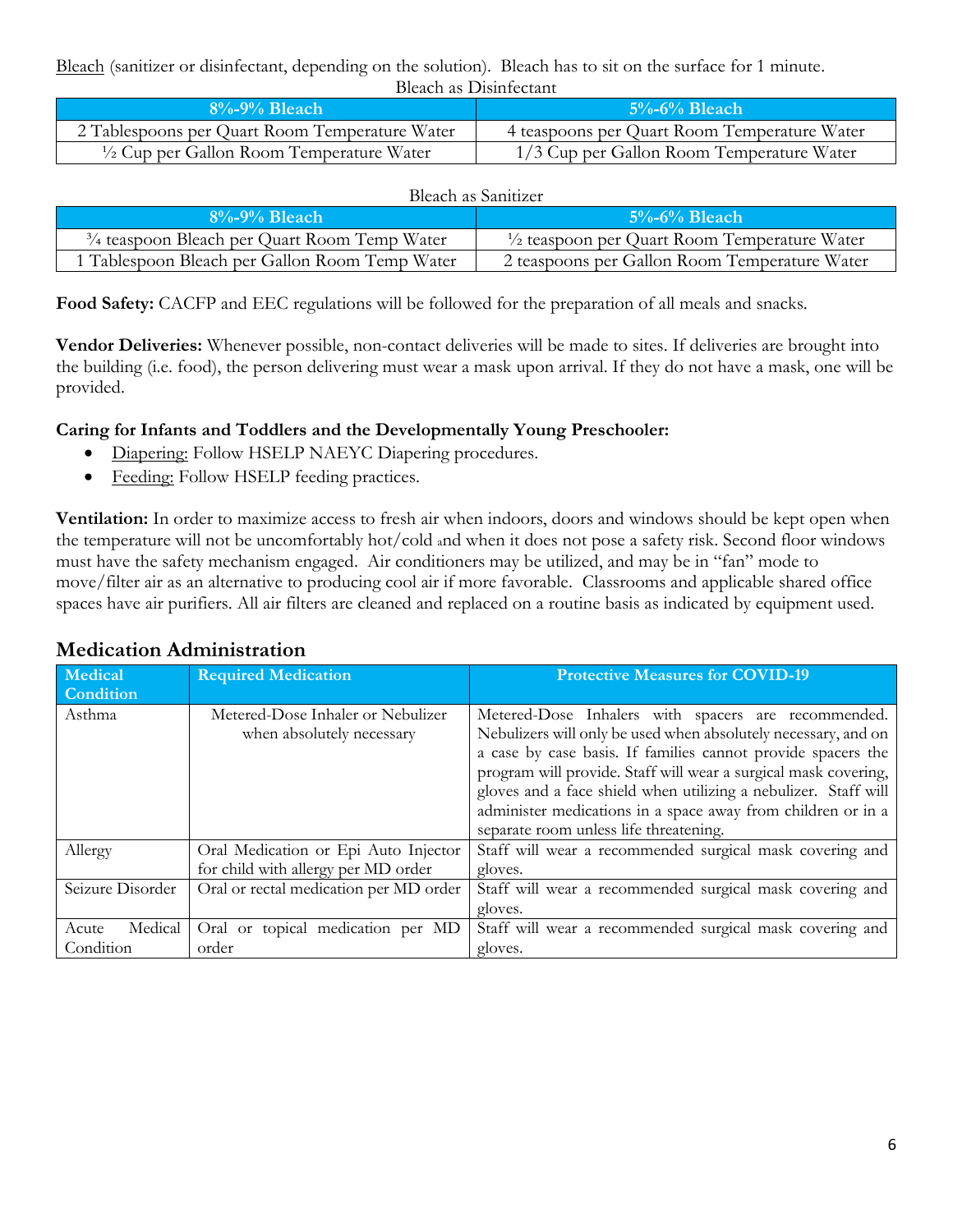#### Bleach (sanitizer or disinfectant, depending on the solution). Bleach has to sit on the surface for 1 minute. Bleach as Disinfectant

| $8\% - 9\%$ Bleach                                  | $5\% - 6\%$ Bleach                           |  |
|-----------------------------------------------------|----------------------------------------------|--|
| 2 Tablespoons per Quart Room Temperature Water      | 4 teaspoons per Quart Room Temperature Water |  |
| $\frac{1}{2}$ Cup per Gallon Room Temperature Water | 1/3 Cup per Gallon Room Temperature Water    |  |

#### Bleach as Sanitizer

| $8\% - 9\%$ Bleach                                      | $5\% - 6\%$ Bleach                                      |  |  |
|---------------------------------------------------------|---------------------------------------------------------|--|--|
| $\frac{3}{4}$ teaspoon Bleach per Quart Room Temp Water | $\frac{1}{2}$ teaspoon per Quart Room Temperature Water |  |  |
| 1 Tablespoon Bleach per Gallon Room Temp Water          | 2 teaspoons per Gallon Room Temperature Water           |  |  |

**Food Safety:** CACFP and EEC regulations will be followed for the preparation of all meals and snacks.

**Vendor Deliveries:** Whenever possible, non-contact deliveries will be made to sites. If deliveries are brought into the building (i.e. food), the person delivering must wear a mask upon arrival. If they do not have a mask, one will be provided.

## **Caring for Infants and Toddlers and the Developmentally Young Preschooler:**

- Diapering: Follow HSELP NAEYC Diapering procedures.
- Feeding: Follow HSELP feeding practices.

**Ventilation:** In order to maximize access to fresh air when indoors, doors and windows should be kept open when the temperature will not be uncomfortably hot/cold and when it does not pose a safety risk. Second floor windows must have the safety mechanism engaged. Air conditioners may be utilized, and may be in "fan" mode to move/filter air as an alternative to producing cool air if more favorable. Classrooms and applicable shared office spaces have air purifiers. All air filters are cleaned and replaced on a routine basis as indicated by equipment used.

| Medical<br>Condition          | <b>Required Medication</b>                                                  | <b>Protective Measures for COVID-19</b>                                                                                                                                                                                                                                                                                                                                                                                               |
|-------------------------------|-----------------------------------------------------------------------------|---------------------------------------------------------------------------------------------------------------------------------------------------------------------------------------------------------------------------------------------------------------------------------------------------------------------------------------------------------------------------------------------------------------------------------------|
| Asthma                        | Metered-Dose Inhaler or Nebulizer<br>when absolutely necessary              | Metered-Dose Inhalers with spacers are recommended.<br>Nebulizers will only be used when absolutely necessary, and on<br>a case by case basis. If families cannot provide spacers the<br>program will provide. Staff will wear a surgical mask covering,<br>gloves and a face shield when utilizing a nebulizer. Staff will<br>administer medications in a space away from children or in a<br>separate room unless life threatening. |
| Allergy                       | Oral Medication or Epi Auto Injector<br>for child with allergy per MD order | Staff will wear a recommended surgical mask covering and<br>gloves.                                                                                                                                                                                                                                                                                                                                                                   |
| Seizure Disorder              | Oral or rectal medication per MD order                                      | Staff will wear a recommended surgical mask covering and<br>gloves.                                                                                                                                                                                                                                                                                                                                                                   |
| Medical<br>Acute<br>Condition | Oral or topical medication per MD<br>order                                  | Staff will wear a recommended surgical mask covering and<br>gloves.                                                                                                                                                                                                                                                                                                                                                                   |

## <span id="page-5-0"></span>**Medication Administration**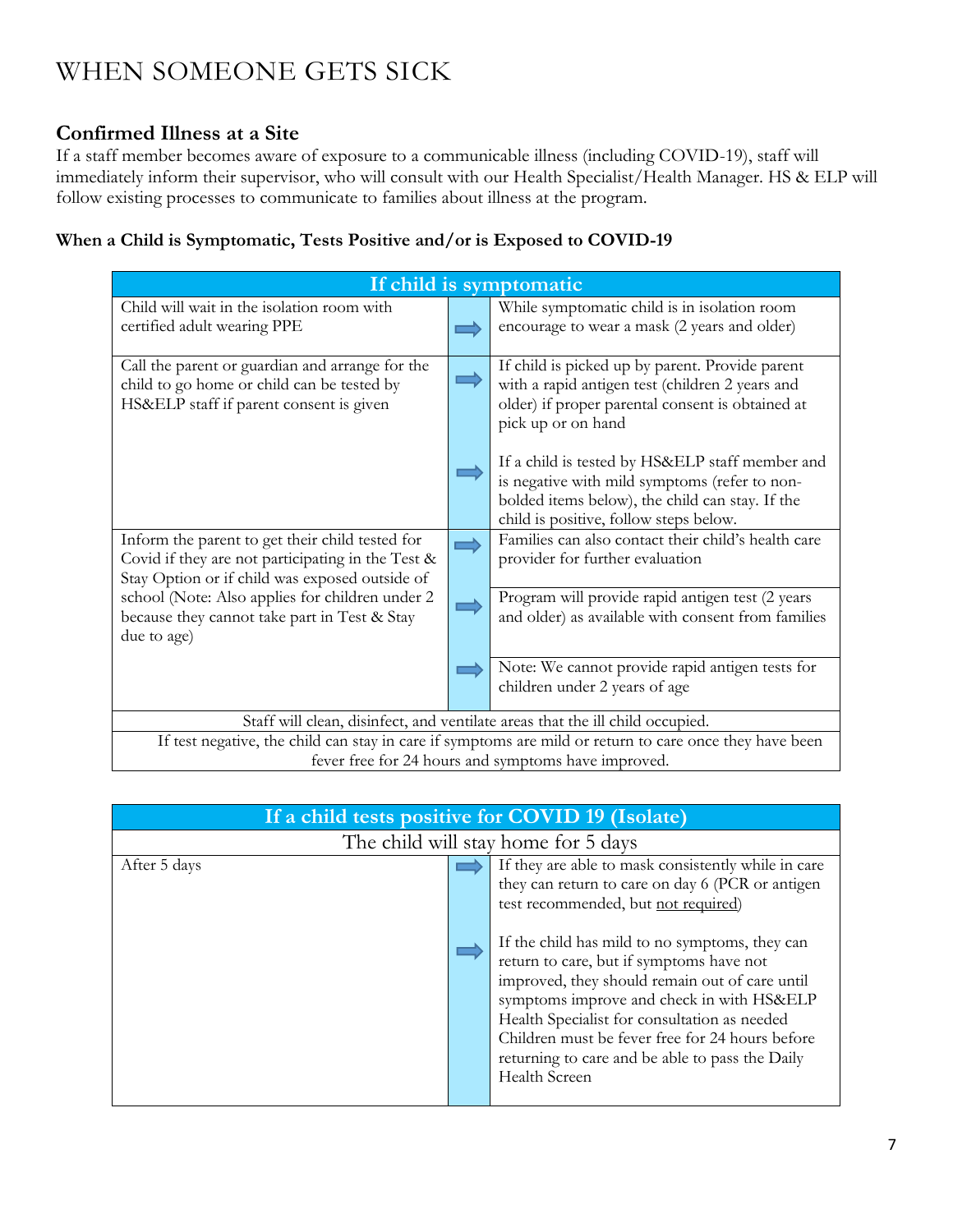# <span id="page-6-0"></span>WHEN SOMEONE GETS SICK

## <span id="page-6-1"></span>**Confirmed Illness at a Site**

If a staff member becomes aware of exposure to a communicable illness (including COVID-19), staff will immediately inform their supervisor, who will consult with our Health Specialist/Health Manager. HS & ELP will follow existing processes to communicate to families about illness at the program.

## **When a Child is Symptomatic, Tests Positive and/or is Exposed to COVID-19**

| If child is symptomatic                                                                                 |               |                                                     |
|---------------------------------------------------------------------------------------------------------|---------------|-----------------------------------------------------|
| Child will wait in the isolation room with                                                              |               | While symptomatic child is in isolation room        |
| certified adult wearing PPE                                                                             |               | encourage to wear a mask (2 years and older)        |
|                                                                                                         |               |                                                     |
| Call the parent or guardian and arrange for the                                                         |               | If child is picked up by parent. Provide parent     |
| child to go home or child can be tested by                                                              |               | with a rapid antigen test (children 2 years and     |
| HS&ELP staff if parent consent is given                                                                 |               | older) if proper parental consent is obtained at    |
|                                                                                                         |               | pick up or on hand                                  |
|                                                                                                         |               | If a child is tested by HS&ELP staff member and     |
|                                                                                                         |               | is negative with mild symptoms (refer to non-       |
|                                                                                                         |               | bolded items below), the child can stay. If the     |
|                                                                                                         |               | child is positive, follow steps below.              |
| Inform the parent to get their child tested for                                                         | $\Rightarrow$ | Families can also contact their child's health care |
| Covid if they are not participating in the Test &                                                       |               | provider for further evaluation                     |
| Stay Option or if child was exposed outside of                                                          |               |                                                     |
| school (Note: Also applies for children under 2                                                         |               | Program will provide rapid antigen test (2 years    |
| because they cannot take part in Test & Stay                                                            |               | and older) as available with consent from families  |
| due to age)                                                                                             |               |                                                     |
|                                                                                                         |               | Note: We cannot provide rapid antigen tests for     |
|                                                                                                         |               | children under 2 years of age                       |
|                                                                                                         |               |                                                     |
| Staff will clean, disinfect, and ventilate areas that the ill child occupied.                           |               |                                                     |
| If test negative, the child can stay in care if symptoms are mild or return to care once they have been |               |                                                     |
| fever free for 24 hours and symptoms have improved.                                                     |               |                                                     |

| If a child tests positive for COVID 19 (Isolate) |  |                                                                                                                                                                                                                                                                                                                                                                                                                                                                                                                    |
|--------------------------------------------------|--|--------------------------------------------------------------------------------------------------------------------------------------------------------------------------------------------------------------------------------------------------------------------------------------------------------------------------------------------------------------------------------------------------------------------------------------------------------------------------------------------------------------------|
| The child will stay home for 5 days              |  |                                                                                                                                                                                                                                                                                                                                                                                                                                                                                                                    |
| After 5 days                                     |  | If they are able to mask consistently while in care<br>they can return to care on day 6 (PCR or antigen<br>test recommended, but not required)<br>If the child has mild to no symptoms, they can<br>return to care, but if symptoms have not<br>improved, they should remain out of care until<br>symptoms improve and check in with HS&ELP<br>Health Specialist for consultation as needed<br>Children must be fever free for 24 hours before<br>returning to care and be able to pass the Daily<br>Health Screen |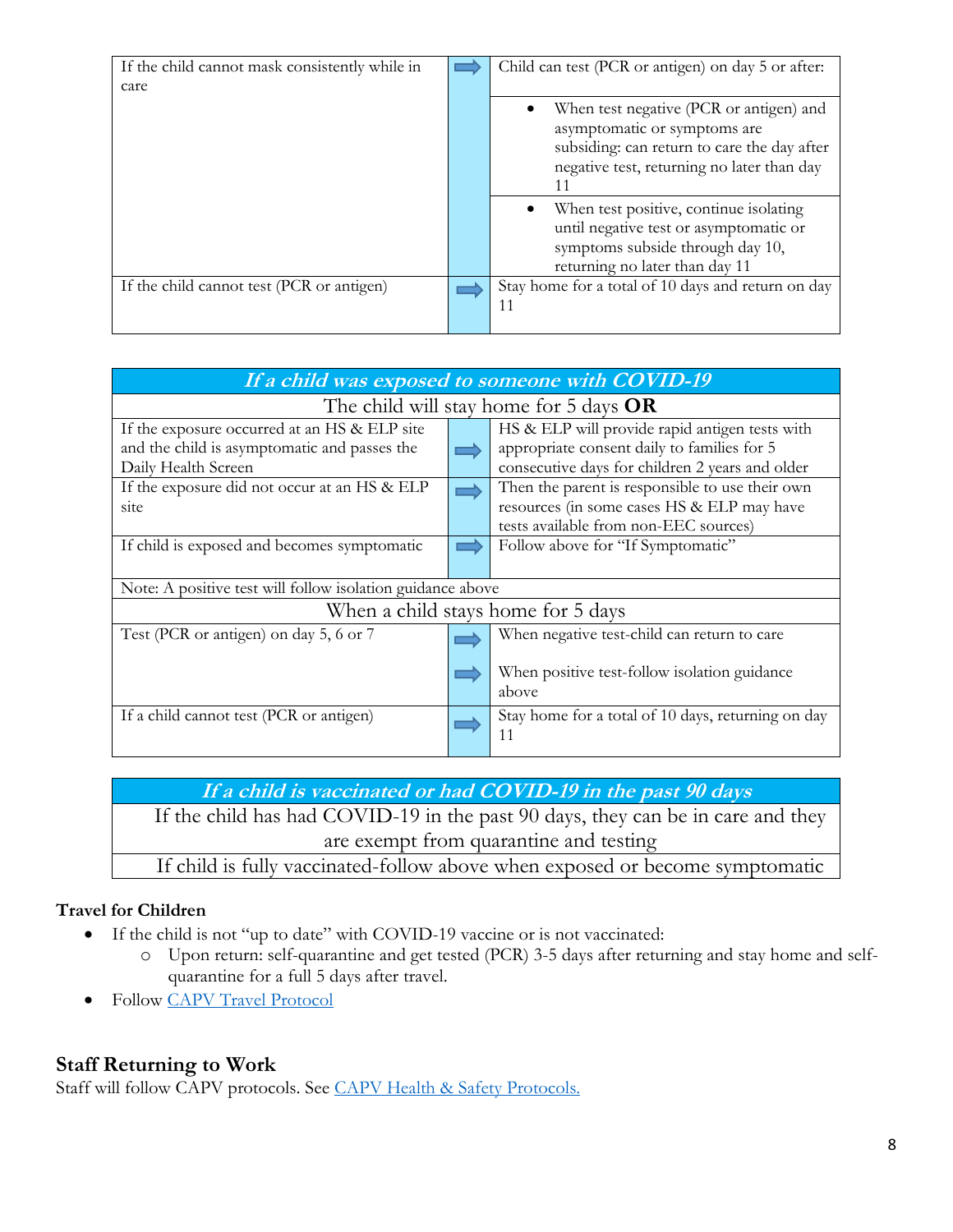| If the child cannot mask consistently while in<br>care | Child can test (PCR or antigen) on day 5 or after:                                                                                                                         |
|--------------------------------------------------------|----------------------------------------------------------------------------------------------------------------------------------------------------------------------------|
|                                                        | When test negative (PCR or antigen) and<br>asymptomatic or symptoms are<br>subsiding: can return to care the day after<br>negative test, returning no later than day<br>11 |
|                                                        | When test positive, continue isolating<br>until negative test or asymptomatic or<br>symptoms subside through day 10,<br>returning no later than day 11                     |
| If the child cannot test (PCR or antigen)              | Stay home for a total of 10 days and return on day<br>11                                                                                                                   |

| If a child was exposed to someone with COVID-19            |  |                                                    |
|------------------------------------------------------------|--|----------------------------------------------------|
| The child will stay home for 5 days $OR$                   |  |                                                    |
| If the exposure occurred at an HS & ELP site               |  | HS & ELP will provide rapid antigen tests with     |
| and the child is asymptomatic and passes the               |  | appropriate consent daily to families for 5        |
| Daily Health Screen                                        |  | consecutive days for children 2 years and older    |
| If the exposure did not occur at an HS & ELP               |  | Then the parent is responsible to use their own    |
| site                                                       |  | resources (in some cases HS & ELP may have         |
|                                                            |  | tests available from non-EEC sources)              |
| If child is exposed and becomes symptomatic                |  | Follow above for "If Symptomatic"                  |
|                                                            |  |                                                    |
| Note: A positive test will follow isolation guidance above |  |                                                    |
| When a child stays home for 5 days                         |  |                                                    |
| Test (PCR or antigen) on day 5, 6 or 7                     |  | When negative test-child can return to care        |
|                                                            |  | When positive test-follow isolation guidance       |
|                                                            |  | above                                              |
| If a child cannot test (PCR or antigen)                    |  | Stay home for a total of 10 days, returning on day |
|                                                            |  | 11                                                 |

**If a child is vaccinated or had COVID-19 in the past 90 days**

If the child has had COVID-19 in the past 90 days, they can be in care and they are exempt from quarantine and testing

If child is fully vaccinated-follow above when exposed or become symptomatic

## **Travel for Children**

- If the child is not "up to date" with COVID-19 vaccine or is not vaccinated:
	- o Upon return: self-quarantine and get tested (PCR) 3-5 days after returning and stay home and selfquarantine for a full 5 days after travel.
- Follow [CAPV Travel Protocol](https://commact.sharepoint.com/hr/Public%20HR%20Documents/Coronavirus%20Information/COVID-19%20Protocols/CAPV%20COVID-19%20Health%20%26%20Safety%20Protocol-Travel.pdf?csf=1&web=1&e=D7TgHR)

## <span id="page-7-0"></span>**Staff Returning to Work**

Staff will follow CAPV protocols. See [CAPV Health & Safety Protocols.](https://commact.sharepoint.com/hr/Public%20HR%20Documents/Coronavirus%20Information/COVID-19%20Protocols/CAPV%20COVID-19%20Health%20%26%20Safety%20Protocols.pdf?csf=1&web=1&e=AnBVq9)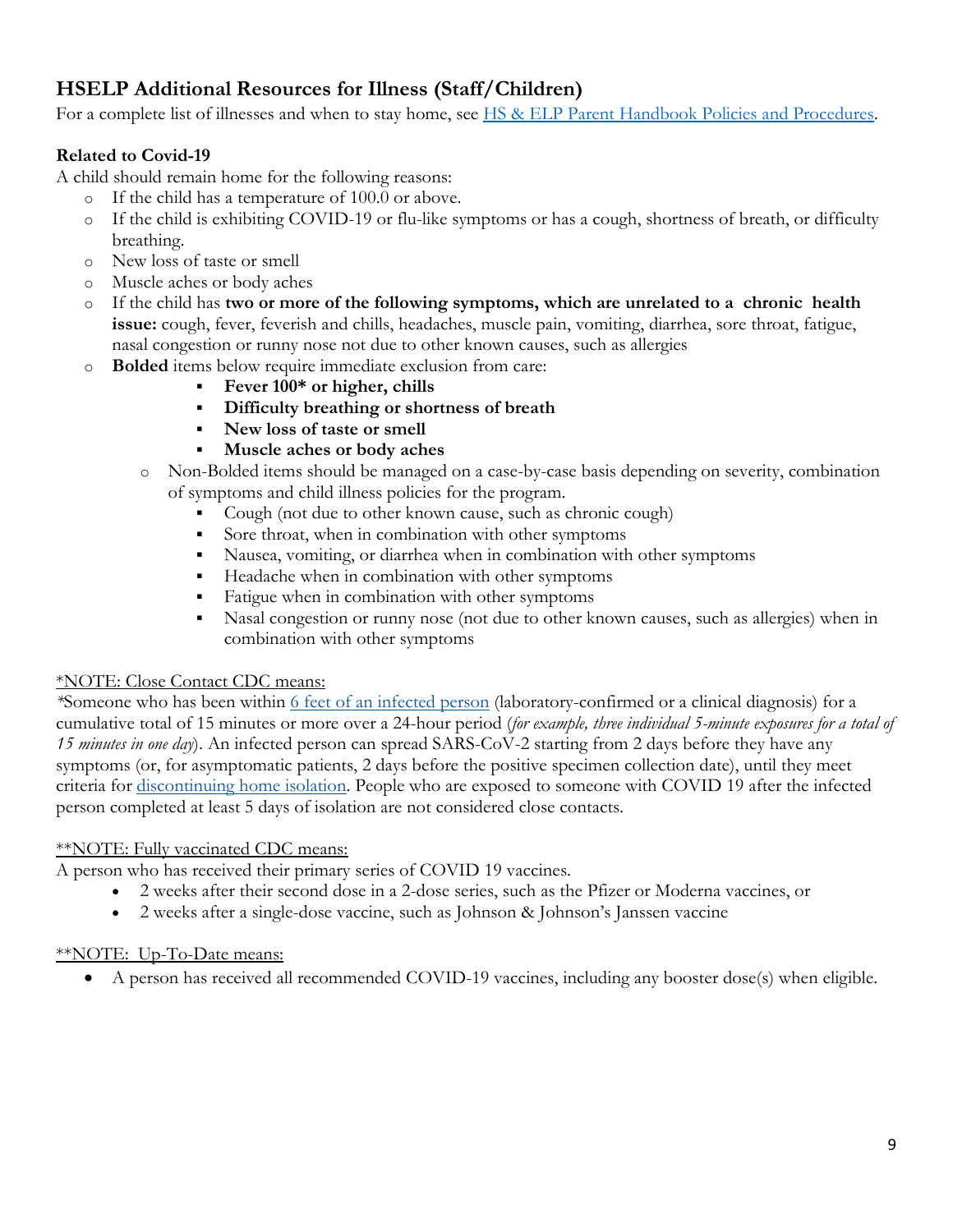# <span id="page-8-0"></span>**HSELP Additional Resources for Illness (Staff/Children)**

For a complete list of illnesses and when to stay home, see **HS & ELP Parent Handbook Policies and Procedures**.

## **Related to Covid-19**

A child should remain home for the following reasons:

- o If the child has a temperature of 100.0 or above.
- o If the child is exhibiting COVID-19 or flu-like symptoms or has a cough, shortness of breath, or difficulty breathing.
- o New loss of taste or smell
- o Muscle aches or body aches
- o If the child has **two or more of the following symptoms, which are unrelated to a chronic health issue:** cough, fever, feverish and chills, headaches, muscle pain, vomiting, diarrhea, sore throat, fatigue, nasal congestion or runny nose not due to other known causes, such as allergies
- o **Bolded** items below require immediate exclusion from care:
	- **Fever 100\* or higher, chills**
	- **Difficulty breathing or shortness of breath**
	- **New loss of taste or smell**
	- **Muscle aches or body aches**
	- o Non-Bolded items should be managed on a case-by-case basis depending on severity, combination of symptoms and child illness policies for the program.
		- Cough (not due to other known cause, such as chronic cough)
		- Sore throat, when in combination with other symptoms
		- Nausea, vomiting, or diarrhea when in combination with other symptoms
		- Headache when in combination with other symptoms
		- **Fatigue when in combination with other symptoms**
		- Nasal congestion or runny nose (not due to other known causes, such as allergies) when in combination with other symptoms

#### \*NOTE: Close Contact CDC means:

*\**Someone who has been within 6 feet of an [infected](https://www.cdc.gov/coronavirus/2019-ncov/prevent-getting-sick/social-distancing.html) person (laboratory-confirmed or a clinical diagnosis) for a cumulative total of 15 minutes or more over a 24-hour period (*for example, three individual 5-minute exposures for a total of 15 minutes in one day*). An infected person can spread SARS-CoV-2 starting from 2 days before they have any symptoms (or, for asymptomatic patients, 2 days before the positive specimen collection date), until they meet criteria for [discontinuing](https://www.cdc.gov/coronavirus/2019-ncov/hcp/duration-isolation.html) home isolation. People who are exposed to someone with COVID 19 after the infected person completed at least 5 days of isolation are not considered close contacts.

#### \*NOTE: Fully vaccinated CDC means:

A person who has received their primary series of COVID 19 vaccines.

- 2 weeks after their second dose in a 2-dose series, such as the Pfizer or Moderna vaccines, or
- 2 weeks after a single-dose vaccine, such as Johnson & Johnson's Janssen vaccine

#### \*\*NOTE: Up-To-Date means:

A person has received all recommended COVID-19 vaccines, including any booster dose(s) when eligible.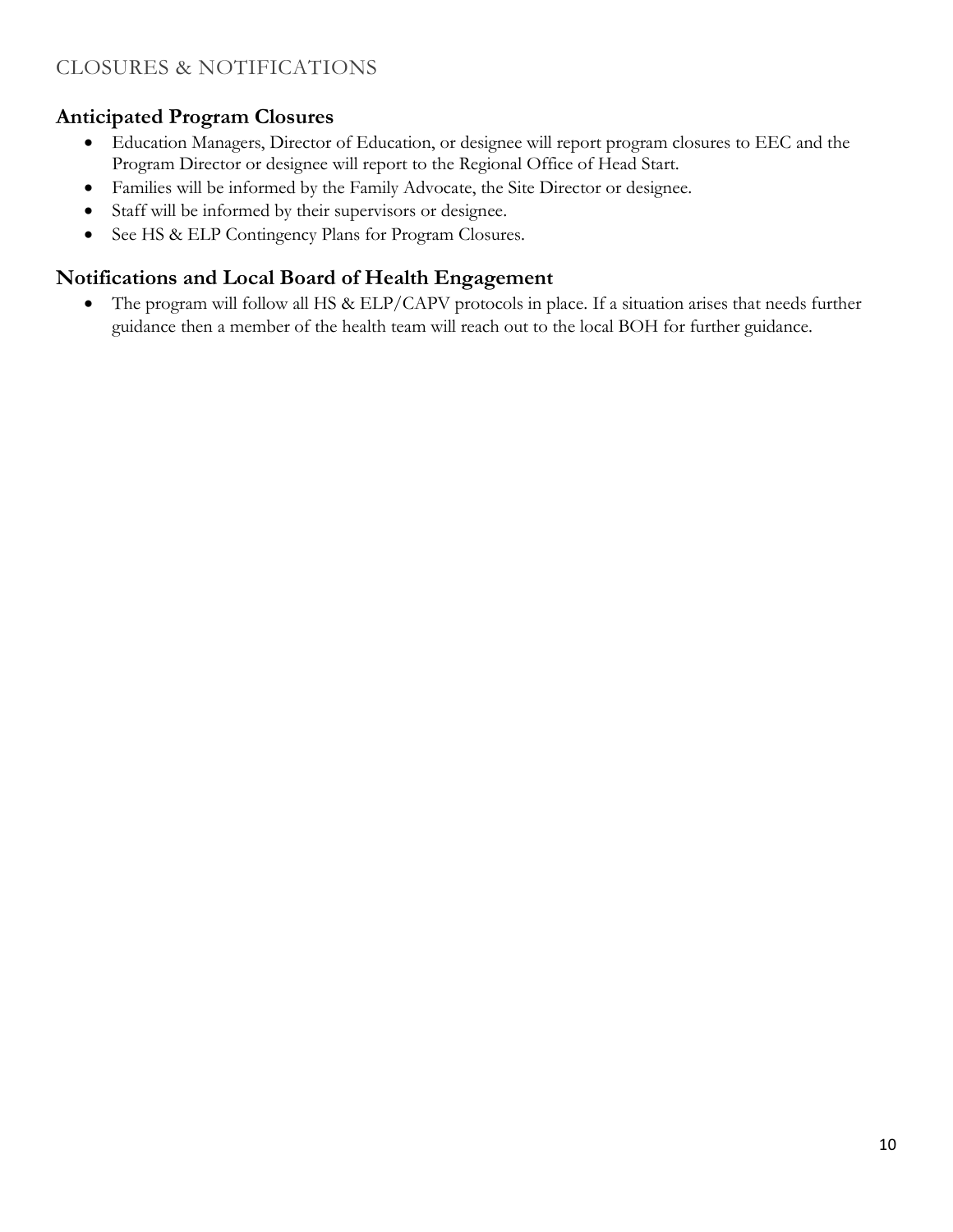# <span id="page-9-0"></span>CLOSURES & NOTIFICATIONS

## <span id="page-9-1"></span>**Anticipated Program Closures**

- Education Managers, Director of Education, or designee will report program closures to EEC and the Program Director or designee will report to the Regional Office of Head Start.
- Families will be informed by the Family Advocate, the Site Director or designee.
- Staff will be informed by their supervisors or designee.
- See HS & ELP Contingency Plans for Program Closures.

## <span id="page-9-2"></span>**Notifications and Local Board of Health Engagement**

• The program will follow all HS & ELP/CAPV protocols in place. If a situation arises that needs further guidance then a member of the health team will reach out to the local BOH for further guidance.